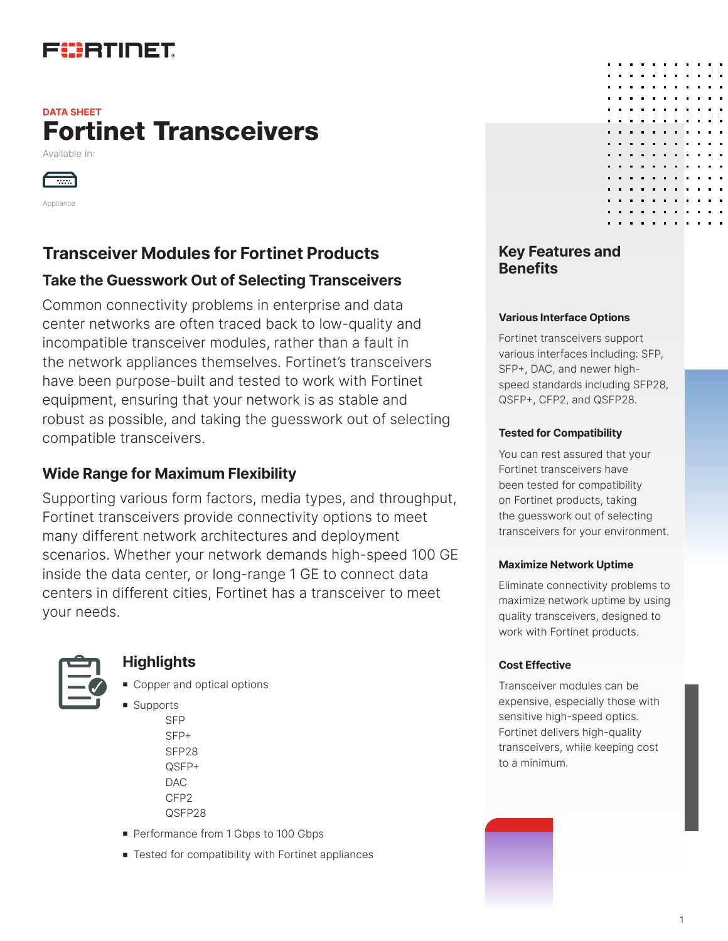# FURTINET

### Fortinet Transceivers **DATA SHEET**

Available in:



Appliance

### **Transceiver Modules for Fortinet Products Transceiver Modules for Fortinet Products**

### **Take the Guesswork Out of Selecting Transceivers**

Common connectivity problems in enterprise and data center networks are often traced back to low-quality and incompatible transceiver modules, rather than a fault in the network appliances themselves. Fortinet's transceivers have been purpose-built and tested to work with Fortinet equipment, ensuring that your network is as stable and robust as possible, and taking the guesswork out of selecting compatible transceivers.

### **Wide Range for Maximum Flexibility**

Supporting various form factors, media types, and throughput, Fortinet transceivers provide connectivity options to meet many different network architectures and deployment scenarios. Whether your network demands high-speed 100 GE inside the data center, or long-range 1 GE to connect data centers in different cities, Fortinet has a transceiver to meet your needs.



#### **Highlights**

- Copper and optical options
- **s** Supports SFP SFP+ SFP28 QSFP+ DAC CFP2 QSFP28
- Performance from 1 Gbps to 100 Gbps
- **F** Tested for compatibility with Fortinet appliances

# **Benefits**

#### **Various Interface Options**

Fortinet transceivers support various interfaces including: SFP, SFP+, DAC, and newer highspeed standards including SFP28, QSFP+, CFP2, and QSFP28.

#### **Tested for Compatibility**

You can rest assured that your Fortinet transceivers have been tested for compatibility on Fortinet products, taking the guesswork out of selecting transceivers for your environment.

#### **Maximize Network Uptime**

Eliminate connectivity problems to maximize network uptime by using quality transceivers, designed to work with Fortinet products.

#### **Cost Effective**

Transceiver modules can be expensive, especially those with sensitive high-speed optics. Fortinet delivers high-quality transceivers, while keeping cost to a minimum.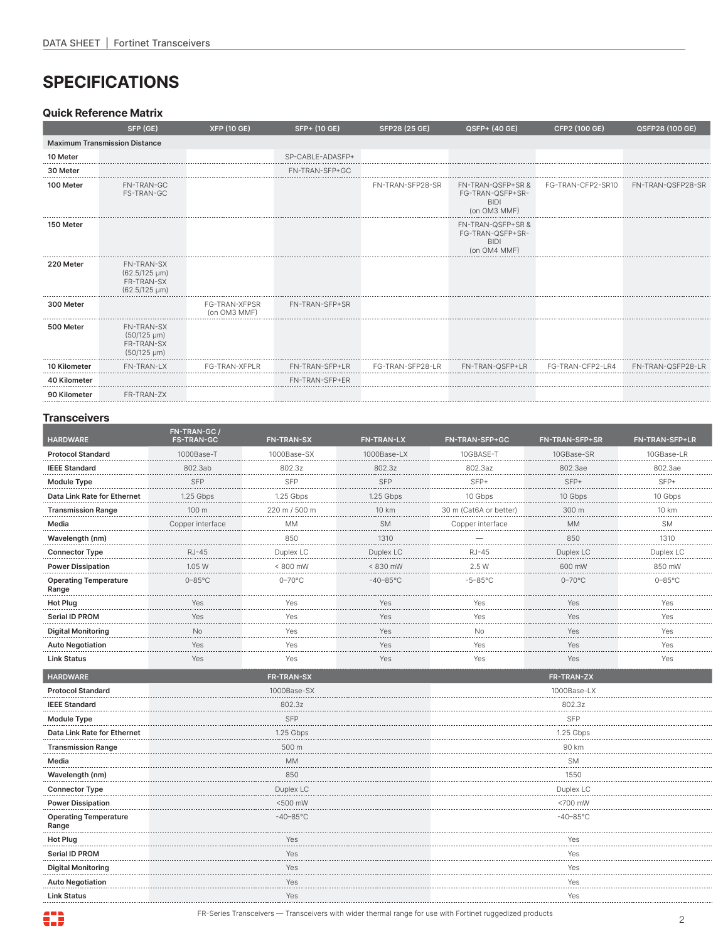# **SPECIFICATIONS**

#### **Quick Reference Matrix**

|              | SFP (GE)                                                                | <b>XFP (10 GE)</b>                   | SFP+ (10 GE)     | SFP28 (25 GE)    | QSFP+ (40 GE)                                                        | CFP2 (100 GE)     | QSFP28 (100 GE)   |
|--------------|-------------------------------------------------------------------------|--------------------------------------|------------------|------------------|----------------------------------------------------------------------|-------------------|-------------------|
|              | <b>Maximum Transmission Distance</b>                                    |                                      |                  |                  |                                                                      |                   |                   |
| 10 Meter     |                                                                         |                                      | SP-CABLE-ADASFP+ |                  |                                                                      |                   |                   |
| 30 Meter     |                                                                         |                                      | FN-TRAN-SFP+GC   |                  |                                                                      |                   |                   |
| 100 Meter    | FN-TRAN-GC<br><b>FS-TRAN-GC</b>                                         |                                      |                  | FN-TRAN-SFP28-SR | FN-TRAN-QSFP+SR &<br>FG-TRAN-QSFP+SR-<br><b>BIDI</b><br>(on OM3 MMF) | FG-TRAN-CFP2-SR10 | FN-TRAN-QSFP28-SR |
| 150 Meter    |                                                                         |                                      |                  |                  | FN-TRAN-QSFP+SR &<br>FG-TRAN-QSFP+SR-<br><b>BIDI</b><br>(on OM4 MMF) |                   |                   |
| 220 Meter    | <b>FN-TRAN-SX</b><br>$(62.5/125 \mu m)$<br>FR-TRAN-SX<br>(62.5/125 µm)  |                                      |                  |                  |                                                                      |                   |                   |
| 300 Meter    |                                                                         | <b>FG-TRAN-XFPSR</b><br>(on OM3 MMF) | FN-TRAN-SFP+SR   |                  |                                                                      |                   |                   |
| 500 Meter    | <b>FN-TRAN-SX</b><br>$(50/125 \mu m)$<br>FR-TRAN-SX<br>$(50/125 \mu m)$ |                                      |                  |                  |                                                                      |                   |                   |
| 10 Kilometer | FN-TRAN-LX                                                              | FG-TRAN-XFPLR                        | FN-TRAN-SFP+LR   | FG-TRAN-SFP28-LR | FN-TRAN-QSFP+LR                                                      | FG-TRAN-CFP2-LR4  | FN-TRAN-QSFP28-LR |
| 40 Kilometer |                                                                         |                                      | FN-TRAN-SFP+ER   |                  |                                                                      |                   |                   |
| 90 Kilometer | FR-TRAN-7X                                                              |                                      |                  |                  |                                                                      |                   |                   |

#### **Transceivers**

| <b>HARDWARE</b>                       | FN-TRAN-GC /<br><b>FS-TRAN-GC</b> | <b>FN-TRAN-SX</b> | <b>FN-TRAN-LX</b> | FN-TRAN-SFP+GC         | <b>FN-TRAN-SFP+SR</b> | <b>FN-TRAN-SFP+LR</b> |
|---------------------------------------|-----------------------------------|-------------------|-------------------|------------------------|-----------------------|-----------------------|
| <b>Protocol Standard</b>              | 1000Base-T                        | 1000Base-SX       | 1000Base-LX       | 10GBASE-T              | 10GBase-SR            | 10GBase-LR            |
| <b>IEEE Standard</b>                  | 802.3ab                           | 802.3z            | 802.3z            | 802.3az                | 802.3ae               | 802.3ae               |
| <b>Module Type</b>                    | <b>SFP</b>                        | SFP               | <b>SFP</b>        | SFP+                   | SFP+                  | SFP+                  |
| Data Link Rate for Ethernet           | 1.25 Gbps                         | 1.25 Gbps         | 1.25 Gbps         | 10 Gbps                | 10 Gbps               | 10 Gbps               |
| <b>Transmission Range</b>             | 100 m                             | 220 m / 500 m     | 10 km             | 30 m (Cat6A or better) | 300 m                 | 10 km                 |
| Media                                 | Copper interface                  | <b>MM</b>         | <b>SM</b>         | Copper interface       | <b>MM</b>             | <b>SM</b>             |
| Wavelength (nm)                       |                                   | 850               | 1310              |                        | 850                   | 1310                  |
| <b>Connector Type</b>                 | <b>RJ-45</b>                      | Duplex LC         | Duplex LC         | <b>RJ-45</b>           | Duplex LC             | Duplex LC             |
| <b>Power Dissipation</b>              | 1.05 W                            | < 800 mW          | < 830 mW          | 2.5 W                  | 600 mW                | 850 mW                |
| <b>Operating Temperature</b><br>Range | $0 - 85$ °C                       | $0 - 70$ °C       | $-40 - 85$ °C     | $-5-85^{\circ}$ C      | $0-70$ °C             | $0 - 85$ °C           |
| <b>Hot Plug</b>                       | Yes                               | Yes               | Yes               | Yes                    | Yes                   | Yes                   |
| Serial ID PROM                        | Yes                               | Yes               | Yes               | Yes                    | Yes                   | Yes                   |
| <b>Digital Monitoring</b>             | No                                | Yes               | Yes               | No                     | Yes                   | Yes                   |
| <b>Auto Negotiation</b>               | Yes                               | Yes               | Yes               | Yes                    | Yes                   | Yes                   |
| <b>Link Status</b>                    | Yes                               | Yes               | Yes               | Yes                    | Yes                   | Yes                   |
| <b>HARDWARE</b>                       |                                   | FR-TRAN-SX        |                   |                        | FR-TRAN-ZX            |                       |
| <b>Protocol Standard</b>              | 1000Base-SX                       |                   |                   |                        | 1000Base-LX           |                       |
| <b>IEEE Standard</b>                  | 802.3z                            |                   |                   |                        | 802.3z                |                       |
| <b>Module Type</b>                    |                                   | <b>SFP</b>        |                   |                        | SFP                   |                       |
| Data Link Rate for Ethernet           |                                   | 1.25 Gbps         |                   |                        | 1.25 Gbps             |                       |
| <b>Transmission Range</b>             |                                   | 500 m             |                   | 90 km                  |                       |                       |
| Media                                 |                                   | <b>MM</b>         |                   | <b>SM</b>              |                       |                       |
| Wavelength (nm)                       |                                   | 850               |                   | 1550                   |                       |                       |
| <b>Connector Type</b>                 |                                   | Duplex LC         |                   | Duplex LC              |                       |                       |
| <b>Power Dissipation</b>              |                                   | <500 mW           |                   | <700 mW                |                       |                       |
| <b>Operating Temperature</b><br>Range | $-40-85^{\circ}$ C                |                   |                   | $-40-85^{\circ}$ C     |                       |                       |
| <b>Hot Plug</b>                       | Yes                               |                   |                   | Yes                    |                       |                       |
| <b>Serial ID PROM</b>                 | Yes                               |                   |                   | Yes                    |                       |                       |
| <b>Digital Monitoring</b>             |                                   | Yes               |                   | Yes                    |                       |                       |
| <b>Auto Negotiation</b>               |                                   | Yes               |                   | Yes                    |                       |                       |
| <b>Link Status</b>                    |                                   | Yes               |                   | Yes                    |                       |                       |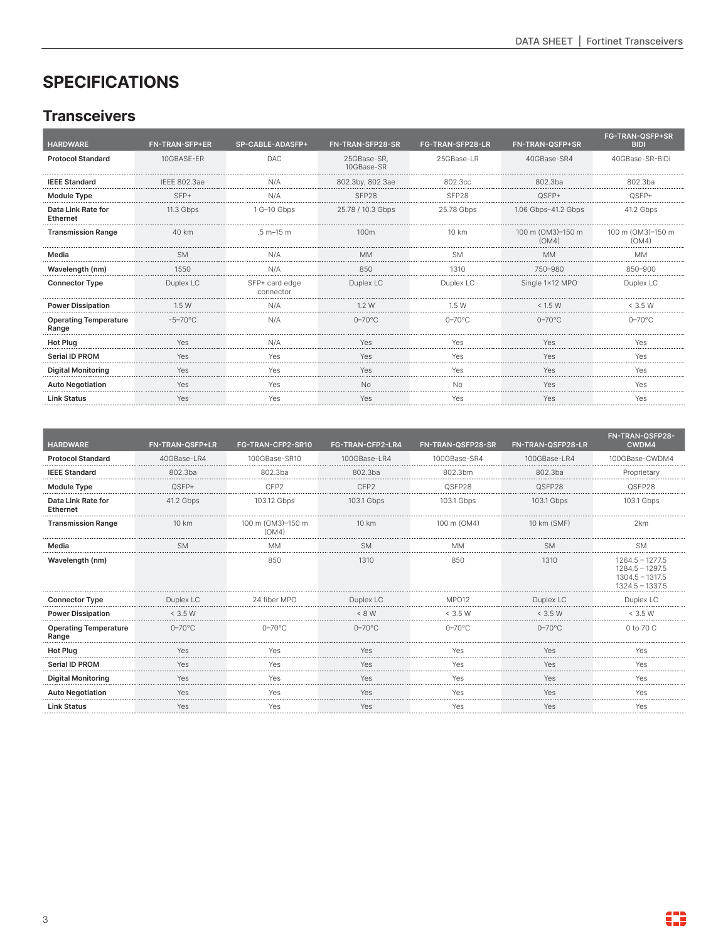# **SPECIFICATIONS**

### **Transceivers**

| <b>HARDWARE</b>                       | <b>FN-TRAN-SFP+ER</b> | SP-CABLE-ADASFP+            | FN-TRAN-SFP28-SR          | <b>FG-TRAN-SFP28-LR</b> | FN-TRAN-QSFP+SR            | FG-TRAN-QSFP+SR<br><b>BIDI</b> |
|---------------------------------------|-----------------------|-----------------------------|---------------------------|-------------------------|----------------------------|--------------------------------|
| <b>Protocol Standard</b>              | 10GBASE-ER            | <b>DAC</b>                  | 25GBase-SR,<br>10GBase-SR | 25GBase-LR              | 40GBase-SR4                | 40GBase-SR-BiDi                |
| <b>IEEE Standard</b>                  | <b>IEEE 802.3ae</b>   | N/A                         | 802.3by, 802.3ae          | 802.3cc                 | 802.3ba                    | 802.3ba                        |
| <b>Module Type</b>                    | $SFP+$                | N/A                         | SFP28                     | SFP <sub>28</sub>       | QSFP+                      | $OSEP+$                        |
| Data Link Rate for<br>Ethernet        | 11.3 Gbps             | 1 G-10 Gbps                 | 25.78 / 10.3 Gbps         | 25.78 Gbps              | 1.06 Gbps-41.2 Gbps        | 41.2 Gbps                      |
| <b>Transmission Range</b>             | 40 km                 | $.5 m - 15 m$               | 100 <sub>m</sub>          | 10 km                   | 100 m (OM3)-150 m<br>(OM4) | 100 m (OM3)-150 m<br>(OM4)     |
| Media                                 | <b>SM</b>             | N/A                         | МM                        | <b>SM</b>               | <b>MM</b>                  | <b>MM</b>                      |
| Wavelength (nm)                       | 1550                  | N/A                         | 850                       | 1310                    | 750-980                    | 850-900                        |
| <b>Connector Type</b>                 | Duplex LC             | SFP+ card edge<br>connector | Duplex LC                 | Duplex LC               | Single 1×12 MPO            | Duplex LC                      |
| <b>Power Dissipation</b>              | 1.5W                  | N/A                         | 1.2 W                     | 1.5 W                   | < 1.5 W                    | < 3.5 W                        |
| <b>Operating Temperature</b><br>Range | $-5 - 70^{\circ}$ C   | N/A                         | $0 - 70^{\circ}$ C        | $0 - 70$ °C             | $0 - 70$ °C                | $0 - 70^{\circ}$ C             |
| Hot Plug                              | Yes                   | N/A                         | Yes                       | Yes                     | Yes                        | Yes                            |
| <b>Serial ID PROM</b>                 | Yes                   | Yes                         | Yes                       | Yes                     | Yes                        | Yes                            |
| <b>Digital Monitoring</b>             | Yes                   | Yes                         | Yes                       | Yes                     | Yes                        | Yes                            |
| <b>Auto Negotiation</b>               | Yes                   | Yes                         | N <sub>0</sub>            | Nο                      | Yes                        | Yes                            |
| <b>Link Status</b>                    | Yes                   | Yes                         | Yes                       | Yes                     | Yes                        | Yes                            |
|                                       |                       |                             |                           |                         |                            |                                |

| <b>HARDWARE</b>                       | FN-TRAN-QSFP+LR    | FG-TRAN-CFP2-SR10          | FG-TRAN-CFP2-LR4 | FN-TRAN-QSFP28-SR | FN-TRAN-QSFP28-LR | FN-TRAN-QSFP28-<br>CWDM4                                                         |
|---------------------------------------|--------------------|----------------------------|------------------|-------------------|-------------------|----------------------------------------------------------------------------------|
| <b>Protocol Standard</b>              | 40GBase-LR4        | 100GBase-SR10              | 100GBase-LR4     | 100GBase-SR4      | 100GBase-LR4      | 100GBase-CWDM4                                                                   |
| <b>IEEE Standard</b>                  | 802.3ba            | 802.3ba                    | 802.3ba          | 802.3bm           | 802.3ba           | Proprietary                                                                      |
| <b>Module Type</b>                    | $OSEP+$            | CFP <sub>2</sub>           | CFP <sub>2</sub> | QSFP28            | QSFP28            | QSFP28                                                                           |
| Data Link Rate for<br>Ethernet        | 41.2 Gbps          | 103.12 Gbps                | 103.1 Gbps       | 103.1 Gbps        | 103.1 Gbps        | 103.1 Gbps                                                                       |
| <b>Transmission Range</b>             | 10 km              | 100 m (OM3)-150 m<br>(OM4) | 10 km            | 100 m (OM4)       | 10 km (SMF)       | 2 <sub>km</sub>                                                                  |
| Media                                 | <b>SM</b>          | <b>MM</b>                  | <b>SM</b>        | <b>MM</b>         | <b>SM</b>         | <b>SM</b>                                                                        |
| Wavelength (nm)                       |                    | 850                        | 1310             | 850               | 1310              | $1264.5 - 1277.5$<br>$1284.5 - 1297.5$<br>$1304.5 - 1317.5$<br>$1324.5 - 1337.5$ |
| <b>Connector Type</b>                 | Duplex LC          | 24 fiber MPO               | Duplex LC        | MPO <sub>12</sub> | Duplex LC         | Duplex LC                                                                        |
| <b>Power Dissipation</b>              | < 3.5 W            |                            | < 8 W            | < 3.5 W           | < 3.5 W           | < 3.5 W                                                                          |
| <b>Operating Temperature</b><br>Range | $0 - 70^{\circ}$ C | $0-70^{\circ}$ C           | $0-70^{\circ}$ C | $0-70^{\circ}$ C  | $0-70^{\circ}$ C  | 0 to 70 C                                                                        |
| <b>Hot Plug</b>                       | Yes                | Yes                        | Yes              | Yes               | Yes               | Yes                                                                              |
| Serial ID PROM                        | Yes                | Yes                        | Yes              | Yes               | Yes               | Yes                                                                              |
| <b>Digital Monitoring</b>             | Yes                | Yes                        | Yes              | Yes               | Yes               | Yes                                                                              |
| <b>Auto Negotiation</b>               | Yes                | Yes                        | Yes              | Yes               | Yes               | Yes                                                                              |
| <b>Link Status</b>                    | Yes                | Yes                        | Yes              | Yes               | Yes               | Yes                                                                              |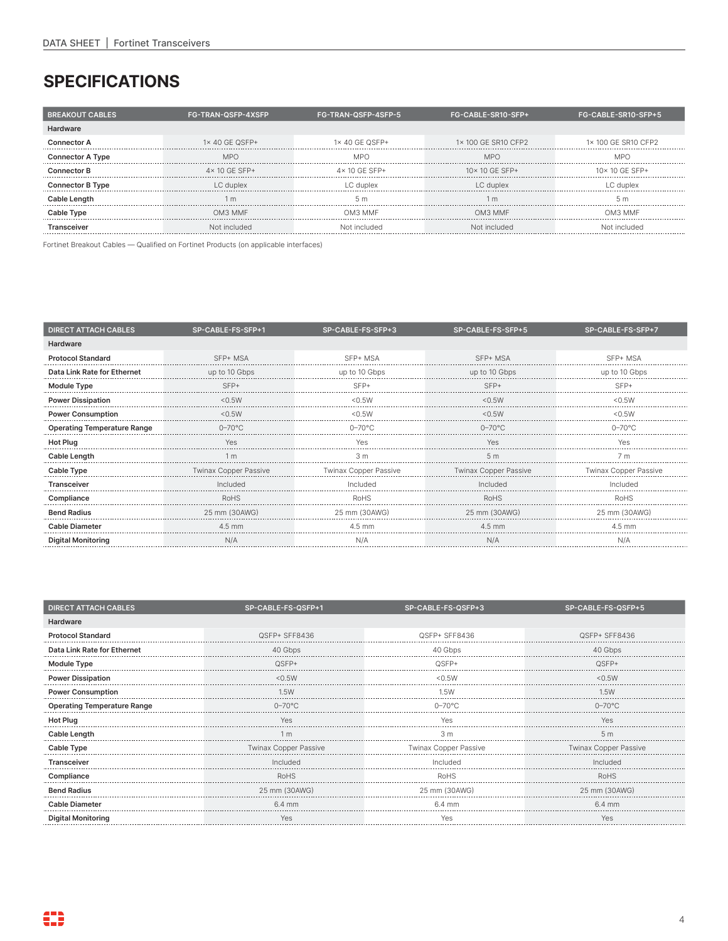### **SPECIFICATIONS**

| <b>BREAKOUT CABLES</b>  | <b>FG-TRAN-QSFP-4XSFP</b> | FG-TRAN-QSFP-4SFP-5   | FG-CABLE-SR10-SFP+     | FG-CABLE-SR10-SFP+5    |
|-------------------------|---------------------------|-----------------------|------------------------|------------------------|
| Hardware                |                           |                       |                        |                        |
| Connector A             | $1\times$ 40 GF QSFP+     | $1\times$ 40 GF QSFP+ | 1×100 GF SR10 CFP2     | 1×100 GF SR10 CFP2     |
| <b>Connector A Type</b> | <b>MPO</b>                | MPO                   | <b>MPO</b>             | M <sub>P</sub>         |
| <b>Connector B</b>      | $4 \times 10$ GF SFP+     | $4 \times 10$ GF SFP+ | $10 \times 10$ GF SFP+ | $10 \times 10$ GF SFP+ |
| <b>Connector B Type</b> | LC duplex                 | I C duplex            | LC duplex              | C dupley               |
| Cable Length            | m                         |                       |                        |                        |
| Cable Type              | OM3 MMF                   | OM <sub>3</sub> MMF   | OM3 MMF                | OM3 MMF                |
| Transceiver             | Not included              | Not included          | Not included           | Not included           |

Fortinet Breakout Cables — Qualified on Fortinet Products (on applicable interfaces)

| <b>DIRECT ATTACH CABLES</b>        | SP-CABLE-FS-SFP+1            | SP-CABLE-FS-SFP+3     | SP-CABLE-FS-SFP+5     | SP-CABLE-FS-SFP+7            |
|------------------------------------|------------------------------|-----------------------|-----------------------|------------------------------|
| Hardware                           |                              |                       |                       |                              |
| <b>Protocol Standard</b>           | SFP+ MSA                     | SFP+ MSA              | SFP+ MSA              | SFP+ MSA                     |
| Data Link Rate for Ethernet        | up to 10 Gbps                | up to 10 Gbps         | up to 10 Gbps         | up to 10 Gbps                |
| <b>Module Type</b>                 | $SFP+$                       | $SFP+$                | $SFP+$                |                              |
| <b>Power Dissipation</b>           | < 0.5W                       | $<$ 0.5 W             | $<$ 0.5 W             | MA GS                        |
| <b>Power Consumption</b>           | < 0.5W                       | < 0.5W                | $<$ 0.5 W             | $<$ 0.5 W                    |
| <b>Operating Temperature Range</b> | $0 - 70^{\circ}$ C           | $0 - 70$ °C           | 0–70°C                | 0–70°C                       |
| <b>Hot Plug</b>                    | Yes                          | Yes                   | Yes                   | Yes                          |
| Cable Length                       | 1 <sub>m</sub>               | 3 <sub>m</sub>        | 5 <sub>m</sub>        |                              |
| Cable Type                         | <b>Twinax Copper Passive</b> | Twinax Copper Passive | Twinax Copper Passive | <b>Twinax Copper Passive</b> |
| <b>Transceiver</b>                 | Included                     | Included              | Included              | Included                     |
| Compliance                         | RoHS                         | RoHS                  | <b>RoHS</b>           | <b>RoHS</b>                  |
| <b>Bend Radius</b>                 | 25 mm (30AWG)                | 25 mm (30AWG)         | 25 mm (30AWG)         | 25 mm (30AWG)                |
| <b>Cable Diameter</b>              | $4.5 \text{ mm}$             | 4.5 mm                | 4.5 mm                | $4.5 \text{ mm}$             |
| <b>Digital Monitoring</b>          | N/A                          | N/A                   | N/A                   | N/A                          |

| <b>DIRECT ATTACH CABLES</b><br>SP-CABLE-FS-QSFP+1 |                       | SP-CABLE-FS-QSFP+3           | SP-CABLE-FS-QSFP+5           |
|---------------------------------------------------|-----------------------|------------------------------|------------------------------|
| Hardware                                          |                       |                              |                              |
| <b>Protocol Standard</b>                          | QSFP+ SFF8436         | QSFP+ SFF8436                | QSFP+ SFF8436                |
| Data Link Rate for Ethernet                       | 40 Gbps               | 40 Gbps                      | 40 Gbps                      |
| <b>Module Type</b>                                |                       |                              |                              |
| <b>Power Dissipation</b>                          |                       |                              |                              |
| <b>Power Consumption</b>                          | 1.5W                  | 1.5W                         | 1.5W                         |
| <b>Operating Temperature Range</b>                | $0-70^{\circ}$ C      | 0–70°C                       | $0 - 70$ °C                  |
| <b>Hot Plug</b>                                   | Yes                   | YAS                          |                              |
| Cable Length                                      | 1 m                   | 3 m                          | 5 <sub>m</sub>               |
| Cable Type                                        | Twinax Copper Passive | <b>Twinax Copper Passive</b> | <b>Twinax Copper Passive</b> |
| <b>Transceiver</b>                                | Included              | Included                     | Included                     |
| Compliance                                        | RoHS                  |                              | <b>RoHS</b>                  |
| <b>Bend Radius</b>                                | 25 mm (30AWG)         | 25 mm (30AWG)                | 25 mm (30AWG)                |
| Cable Diameter                                    | $6.4 \text{ mm}$      | ና 4 mm                       | 64 mm                        |
| <b>Digital Monitoring</b>                         | Yes                   | Yes                          | Yes                          |